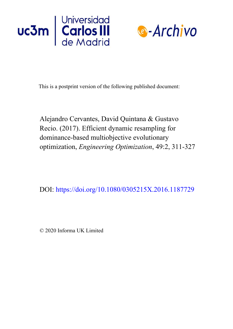



This is a postprint version of the following published document:

Alejandro Cervantes, David Quintana & Gustavo Recio. (2017). Efficient dynamic resampling for dominance-based multiobjective evolutionary optimization, *Engineering Optimization*, 49:2, 311-327

DOI: <https://doi.org/10.1080/0305215X.2016.1187729>

© 2020 Informa UK Limited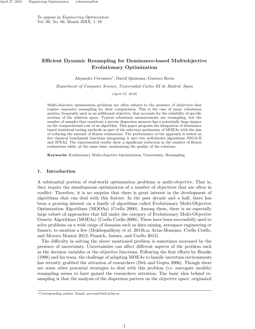To appear in Engineering Optimization Vol. 00, No. 00, Month 20XX, 1–19

# Efficient Dynamic Resampling for Dominance-based Multiobjective Evolutionary Optimization

Alejandro Cervantes<sup>∗</sup> , David Quintana, Gustavo Recio

Department of Computer Science, Universidad Carlos III de Madrid, Spain

(April 27, 2016)

Multi-objective optimization problems are often subject to the presence of objectives that require expensive resampling for their computation. This is the case of many robustness metrics, frequently used as an additional objective, that accounts for the reliability of specific sections of the solution space. Typical robustness measurements use resampling, but the number of samples that constitute a precise dispersion measure has a potentially large impact on the computational cost of an algorithm. This paper proposes the integration of dominance based statistical testing methods as part of the selection mechanism of MOEAs with the aim of reducing the amount of fitness evaluations. The performance of the approach is tested on five classical benchmark functions integrating it into two well-known algorithms NSGA-II and SPEA2. The experimental results show a significant reduction in the number of fitness evaluations while, at the same time, maintaining the quality of the solutions.

Keywords: Evolutionary Multi-objective Optimization; Uncertainty; Resampling

### 1. Introduction

A substantial portion of real-world optimization problems is multi-objective. That is, they require the simultaneous optimization of a number of objectives that are often in conflict. Therefore, it is no surprise that there is great interest in the development of algorithms that can deal with this feature. In the past decade and a half, there has been a growing interest on a family of algorithms called Evolutionary Multi-Objective Optimization Algorithms (MOOAs) (Coello 2000). Among them, there is an especially large subset of approaches that fall under the category of Evolutionary Multi-Objective Genetic Algorithms (MOEAs) (Coello Coello 2006). These have been successfully used to solve problems on a wide range of domains such as data mining, aerospace engineering or finance, to mention a few (Mukhopadhyay et al. 2014b,a; Arias-Montano, Coello Coello, and Mezura Montes 2012; Ponsich, Jaimes, and Coello 2013).

The difficulty in solving the above mentioned problem is sometimes increased by the presence of uncertainty. Uncertainties can affect different aspects of the problem such as the decision variables or the objective functions. Following the first efforts by Branke (1998) and his team, the challenge of adapting MOEAs to handle uncertain environments has recently grabbed the attention of researchers (Deb and Gupta 2006). Though there are some other potential strategies to deal with this problem (i.e. surrogate models) resampling seems to have gained the researchers attention. The basic idea behind resampling is that the analysis of the dispersion pattern on the objective space, originated

<sup>∗</sup>Corresponding author. Email: acervant@inf.uc3m.es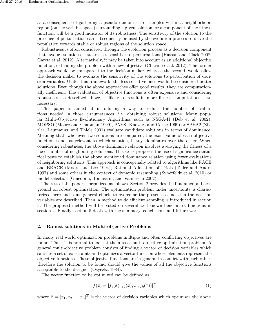as a consequence of gathering a pseudo-random set of samples within a neighborhood region (on the variable space) surrounding a given solution, or a component of the fitness function, will be a good indicator of its robustness. The sensitivity of the solution to the presence of perturbation can subsequently be used by the evolution process to drive the population towards stable or robust regions of the solution space.

Robustness is often considered through the evolution process as a decision component that favours solutions that are less sensitive to perturbations (Hassan and Clack 2008; García et al. 2012). Alternatively, it may be taken into account as an additional objective function, extending the problem with a new objective (Chicano et al. 2012). The former approach would be transparent to the decision maker, whereas the second, would allow the decision maker to evaluate the sensitivity of the solutions to perturbation of decision variables. Under this framework, the less sensitive ones would be considered better solutions. Even though the above approaches offer good results, they are computationally inefficient. The evaluation of objective functions is often expensive and considering robustness, as described above, is likely to result in more fitness computations than necessary.

This paper is aimed at introducing a way to reduce the number of evaluations needed in those circumstances, i.e. obtaining robust solutions. Many popular Multi-Objective Evolutionary Algorithms, such as NSGA-II (Deb et al. 2002), MOPSO (Moore and Chapman 1999), PAES (Knowles and Corne 1999) or SPEA2 (Zitzler, Laumanns, and Thiele 2001) evaluate candidate solutions in terms of dominance. Meaning that, whenever two solutions are compared, the exact value of each objective function is not as relevant as which solution, if any, dominates over the other. When considering robustness, the above dominance relation involves averaging the fitness of a fixed number of neighboring solutions. This work proposes the use of significance statistical tests to establish the above mentioned dominance relation using fewer evaluations of neighboring solutions. This approach is conceptually related to algorithms like RACE and BRACE (Moore and Lee 1994), Rational Allocation of Trials (Teller and Andre 1997) and some others in the context of dynamic resampling (Syberfeldt et al. 2010) or model selection (Giacobini, Tomassini, and Vanneschi 2002).

The rest of the paper is organized as follows. Section 2 provides the fundamental background on robust optimization. The optimization problem under uncertainty is characterized here and some general efforts to overcome the presence of noise in the decision variables are described. Then, a method to do efficient sampling is introduced in section 3. The proposed method will be tested on several well-known benchmark functions in section 4. Finally, section 5 deals with the summary, conclusions and future work.

## 2. Robust solutions in Multi-objective Problems

In many real world optimization problems multiple and often conflicting objectives are found. Thus, it is normal to look at them as a multi-objective optimization problem. A general multi-objective problem consists of finding a vector of decision variables which satisfies a set of constraints and optimizes a vector function whose elements represent the objective functions. These objective functions are in general in conflict with each other, therefore the solution to be found should give the values of all the objective functions acceptable to the designer (Osyczka 1984).

The vector function to be optimized can be defined as

$$
\bar{f}(\bar{x}) = [f_1(\bar{x}), f_2(\bar{x}), ..., f_k(\bar{x}))]^T
$$
\n(1)

where  $\bar{x} = [x_1, x_2, ..., x_n]^T$  is the vector of decision variables which optimizes the above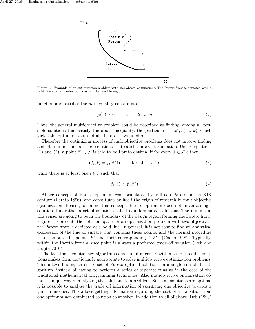

Figure 1. Example of an optimization problem with two objective functions. The Pareto front is depicted with a bold line at the inferior boundary of the feasible region.

function and satisfies the  $m$  inequality constraints

$$
g_i(\bar{x}) \ge 0 \qquad i = 1, 2, ..., m \tag{2}
$$

Thus, the general multiobjective problem could be described as finding, among all possible solutions that satisfy the above inequality, the particular set  $x_1^*, x_2^*, ..., x_k^*$  which yields the optimum values of all the objective functions.

Therefore the optimizing process of multiobjective problems does not involve finding a single minima but a set of solutions that satisfies above formulation. Using equations (1) and (2), a point  $\bar{x}^* \in \mathcal{F}$  is said to be Pareto optimal if for every  $\bar{x} \in \mathcal{F}$  either,

$$
(f_i(\bar{x}) = f_i(\bar{x}^*)) \qquad \text{for all} \quad i \in I \tag{3}
$$

while there is at least one  $i \in I$  such that

$$
f_i(\bar{x}) > f_i(\bar{x}^*)
$$
\n<sup>(4)</sup>

Above concept of Pareto optimum was formulated by Vilfredo Pareto in the XIX century (Pareto 1896), and constitutes by itself the origin of research in multiobjective optimization. Bearing on mind this concept, Pareto optimum does not mean a single solution, but rather a set of solutions called non-dominated solutions. The minima in this sense, are going to be in the boundary of the design region forming the Pareto front. Figure 1 represents the solution space for an optimization problem with two objectives, the Pareto front is depicted as a bold line. In general, it is not easy to find an analytical expression of the line or surface that contains these points, and the normal procedure is to compute the points  $\mathcal{F}^k$  and their corresponding  $f(\mathcal{F}^k)$  (Coello 1998). Typically, within the Pareto front a knee point is always a preferred trade-off solution (Deb and Gupta 2010).

The fact that evolutionary algorithms deal simultaneously with a set of possible solutions makes them particularly appropriate to solve multiobjective optimization problems. This allows finding an entire set of Pareto optimal solutions in a single run of the algorithm, instead of having to perform a series of separate runs as in the case of the traditional mathematical programming techniques. Also mutiobjective optimization offers a unique way of analyzing the solutions to a problem. Since all solutions are optima, it is possible to analyze the trade off information of sacrificing one objective towards a gain in another. This allows getting information regarding the cost of a transition from one optimum non dominated solution to another. In addition to all of above, Deb (1999)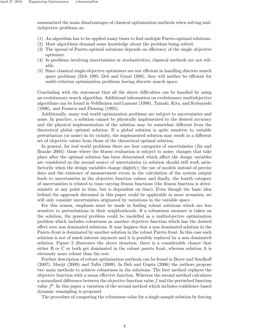summarized the main disadvantages of classical optimization methods when solving multiobjective problems as:

- (1) An algorithm has to be applied many times to find multiple Pareto-optimal solutions.
- (2) Most algorithms demand some knowledge about the problem being solved.
- (3) The spread of Pareto-optimal solutions depends on efficiency of the single objective optimizer.
- (4) In problems involving uncertainties or stochasticities, classical methods are not reliable.
- (5) Since classical single-objective optimizers are not efficient in handling discrete search space problems (Deb 1995; Deb and Goyal 1998), they will neither be efficient for multi-criterion optimization problems having discrete search space.

Concluding with the statement that all the above difficulties can be handled by using an evolutionary search algorithm. Additional information on evolutionary multiobjective algorithms can be found in Veldhuizen and Lamont (1998), Tamaki, Kita, and Kobayashi (1996), and Fonseca and Fleming (1995).

Additionally, many real world optimization problems are subject to uncertainties and noise. In practice, a solution cannot be physically implemented to the desired accuracy and the physical implementation of the solution may be somewhat different from the theoretical global optimal solution. If a global solution is quite sensitive to variable perturbation (or noise) in its vicinity, the implemented solution may result in a different set of objective values from those of the theoretical optimal solution.

In general, for real world problems there are four categories of uncertainties (Jin and Branke 2005): those where the fitness evaluation is subject to noise; changes that take place after the optimal solution has been determined which affect the design variables are considered as the second source of uncertainties (a solution should still work satisfactorily when the design variables change slightly); the use of models instead of precise data and the existence of measurement errors in the calculation of the system output leads to uncertainties in the objective function values; and finally, the fourth category of uncertainties is related to time-varying fitness functions (the fitness function is deterministic at any point in time, but is dependent on time). Even though the basic idea behind the approach discussed in this paper could be applicable in more scenarios, we will only consider uncertainties originated by variations in the variable space.

For this reason, emphasis must be made in finding robust solutions which are less sensitive to perturbations in their neighborhoods. If a robustness measure is taken on the solution, the general problem could be modelled as a multiobjective optimization problem which includes robustness as another objective function which has the desired effect over non dominated solutions. It may happen that a non dominated solution in the Pareto front is dominated by another solution in the robust Pareto front. In this case such solution is not of much interest anymore and it is possibly replaced by a non dominated solution. Figure 2 illustrates the above situation, there is a considerable chance that either B or C or both get dominated in the robust pareto front, whereas solution A is obviously more robust than the rest.

Further description of robust optimization methods can be found in Beyer and Sendhoff (2007), Marijt (2009) and Talbi (2009). In Deb and Gupta (2006) the authors propose two main methods to achieve robustness in the solutions. The first method replaces the objective function with a mean effective function. Whereas the second method calculates a normalised difference between the objective function value  $f$  and the perturbed function value  $f^p$ . In this paper a variation of the second method which includes confidence based dynamic resampling is proposed.

The procedure of computing the robustness value for a single sample solution by forcing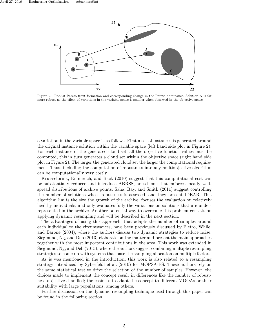

Figure 2. Robust Pareto front formation and corresponding change in the Pareto dominance. Solution A is far more robust as the effect of variations in the variable space is smaller when observed in the objective space.

a variation in the variable space is as follows. First a set of instances is generated around the original instance solution within the variable space (left hand side plot in Figure 2). For each instance of the generated cloud set, all the objective function values must be computed, this in turn generates a cloud set within the objective space (right hand side plot in Figure 2). The larger the generated cloud set the larger the computational requirement. Thus, including the computation of robustness into any multiobjective algorithm can be computationally very costly

Kruisselbrink, Emmerich, and Bäck (2010) suggest that this computational cost can be substantially reduced and introduce ABRSS, an scheme that enforces locally wellspread distributions of archive points. Saha, Ray, and Smith (2011) suggest controlling the number of solutions whose robustness is assessed, and they present IDEAR. This algorithm limits the size the growth of the archive; focuses the evaluation on relatively healthy individuals; and only evaluates fully the variations on solutions that are underrepresented in the archive. Another potential way to overcome this problem consists on applying dynamic resampling and will be described in the next section.

The advantages of using this approach, that adapts the number of samples around each individual to the circumstances, have been previously discussed by Pietro, While, and Barone (2004), where the authors discuss two dynamic strategies to reduce noise. Siegmund, Ng, and Deb (2013) elaborate on the matter and present the main approaches together with the most important contributions in the area. This work was extended in Siegmund, Ng, and Deb (2015), where the authors suggest combining multiple resampling strategies to come up with systems that base the sampling allocation on multiple factors.

As is was mentioned in the introduction, this work is also related to a resampling strategy introduced by Syberfeldt et al. (2010) for MOPSA-ES. These authors rely on the same statistical test to drive the selection of the number of samples. However, the choices made to implement the concept result in differences like the number of robustness objectives handled; the easiness to adapt the concept to different MOOAs or their suitability with large populations, among others.

Further discussion on the dynamic resampling technique used through this paper can be found in the following section.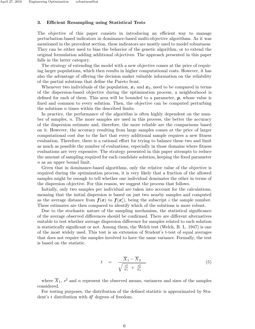#### 3. Efficient Resampling using Statistical Tests

The objective of this paper consists in introducing an efficient way to manage perturbation-based indicators in dominance-based multi-objective algorithms. As it was mentioned in the precedent section, these indicators are mostly used to model robustness. They can be either used to bias the behavior of the genetic algorithm, or to extend the original formulation adding additional objectives. The approach presented in this paper falls in the latter category.

The strategy of extending the model with a new objective comes at the price of requiring larger populations, which then results in higher computational costs. However, it has also the advantage of offering the decision maker valuable information on the reliability of the partial solutions that define the Pareto front.

Whenever two individuals of the population,  $x_1$  and  $x_2$ , need to be compared in terms of the dispersion-based objective during the optimization process, a neighborhood is defined for each of them. This area will be bounded to a parameter,  $p$ , whose value is fixed and common to every solution. Then, the objective can be computed perturbing the solutions n times within the described limits.

In practice, the performance of the algorithm is often highly dependent on the number of samples, n. The more samples are used in this process, the better the accuracy of the dispersion estimate and, therefore, the more reliable are the comparisons based on it. However, the accuracy resulting from large samples comes at the price of larger computational cost due to the fact that every additional sample requires a new fitness evaluation. Therefore, there is a rational effort for trying to balance these two and limit as much as possible the number of evaluations, especially in those domains where fitness evaluations are very expensive. The strategy presented in this paper attempts to reduce the amount of sampling required for each candidate solution, keeping the fixed parameter n as an upper bound limit.

Given that in dominance-based algorithms, only the relative value of the objective is required during the optimization process, it is very likely that a fraction of the allowed samples might be enough to tell whether one individual dominates the other in terms of the dispersion objective. For this reason, we suggest the process that follows.

Initially, only two samples per individual are taken into account for the calculations, meaning that the initial dispersion is based on just two nearby samples and computed as the average distance from  $f(x)$  to  $f(x'_i)$ , being the subscript i the sample number. These estimates are then compared to identify which of the solutions is more robust.

Due to the stochastic nature of the sampling mechanism, the statistical significance of the average observed differences should be confirmed. There are different alternatives suitable to test whether average dispersion difference for samples related to each solution is statistically significant or not. Among them, the Welch test (Welch, B. L. 1947) is one of the most widely used. This test is an extension of Student's t-test of equal averages that does not require the samples involved to have the same variance. Formally, the test is based on the statistic.

$$
t = \frac{\overline{X}_1 - \overline{X}_2}{\sqrt{\frac{s_1^2}{n_1} + \frac{s_2^2}{n_2}}}
$$
\n(5)

where  $\overline{X}_1$ ,  $s^2$  and n represent the observed means, variances and sizes of the samples considered.

For testing purposes, the distribution of the defined statistic is approximated by Student's t distribution with df degrees of freedom.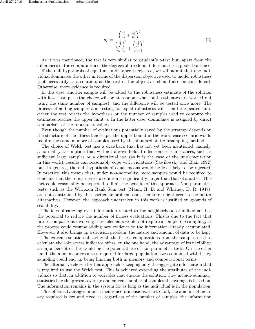$$
df = \frac{\left(\frac{s_1^2}{n_1} + \frac{s_2^2}{n_2}\right)^2}{\left(\frac{s_1^2}{n_1}\right)^2 + \left(\frac{s_2^2}{n_2}\right)^2}
$$
(6)

As it was mentioned, the test is very similar to Student's t-test but, apart from the differences in the computation of the degrees of freedom, it does not use a pooled variance.

If the null hypothesis of equal mean distance is rejected, we will admit that one individual dominates the other in terms of the dispersion objective used to model robustness (not necessarily as a solution, as the rest of the objectives should also be considered). Otherwise, more evidence is required.

In this case, another sample will be added to the robustness estimate of the solution with fewer samples (the choice will be at random when both estimates are worked out using the same number of samples), and the difference will be tested once more. The process of adding samples and testing for equal robustness will then be repeated until either the test rejects the hypothesis or the number of samples used to compute the estimates reaches the upper limit  $n$ . In the latter case, dominance is assigned by direct comparison of the robustness values.

Even though the number of evaluations potentially saved by the strategy depends on the structure of the fitness landscape, the upper bound in the worst-case scenario would require the same number of samples used by the standard static resampling method.

The choice of Welch test has a drawback that has not yet been mentioned, namely, a normality assumption that will not always hold. Under some circumstances, such as sufficient large samples or a directional use (as it is the case of the implementation in this work), results can reasonably cope with violations (Sawilowsky and Blair 1992) but, in general, the null hypothesis of equal means would be less likely to be rejected. In practice, this means that, under non-normality, more samples would be required to conclude that the robustness of a solution is significantly larger than that of another. This fact could reasonably be expected to limit the benefits of this approach. Non-parametric tests, such as the Wilcoxon Rank Sum test (Mann, H. B. and Whitney, D. R. 1947), are not constrained by this particular problem and, therefore, might seem to be better alternatives. However, the approach undertaken in this work is justified on grounds of scalability.

The idea of carrying over information related to the neighborhood of individuals has the potential to reduce the number of fitness evaluations. This is due to the fact that future comparisons involving these elements would not require a complete resampling, as the process could resume adding new evidence to the information already accumulated. However, it also brings up a decision problem: the nature and amount of data to be kept.

The extreme solution of saving all the fitness computations from the samples used to calculate the robustness indicator offers, on the one hand, the advantage of its flexibility, a major benefit of this would be the potential use of non-parametric tests. On the other hand, the amount or resources required for large population sizes combined with heavy sampling could end up being limiting both in memory and computational terms.

The alternative chosen for this approach is keeping only the aggregate information that is required to use the Welch test. This is achieved extending the attributes of the individuals so that, in addition to variables that encode the solution, they include summary statistics like the present average and current number of samples the average is based on. The information remains in the system for as long as the individual is in the population.

This offers advantages in both mentioned dimensions. First of all, the amount of memory required is low and fixed as, regardless of the number of samples, the information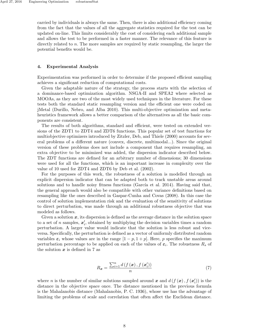carried by individuals is always the same. Then, there is also additional efficiency coming from the fact that the values of all the aggregate statistics required for the test can be updated on-line. This limits considerably the cost of considering each additional sample and allows the test to be performed in a faster manner. The relevance of this feature is directly related to n. The more samples are required by static resampling, the larger the potential benefits would be.

## 4. Experimental Analysis

Experimentation was performed in order to determine if the proposed efficient sampling achieves a significant reduction of computational costs.

Given the adaptable nature of the strategy, the process starts with the selection of a dominance-based optimization algorithm. NSGA-II and SPEA2 where selected as MOOAs, as they are two of the most widely used techniques in the literature. For these tests both the standard static resampling version and the efficient one were coded on jMetal (Durillo, Nebro, and Alba 2010). This multi-objective optimization and metaheuristics framework allows a better comparison of the alternatives as all the basic components are consistent.

The results of both algorithms, standard and efficient, were tested on extended versions of the ZDT1 to ZDT4 and ZDT6 functions. This popular set of test functions for multiobjective optimizers introduced by Zitzler, Deb, and Thiele (2000) accounts for several problems of a different nature (convex, discrete, multimodal...). Since the original version of these problems does not include a component that requires resampling, an extra objective to be minimized was added, the dispersion indicator described below. The ZDT functions are defined for an arbitrary number of dimensions; 30 dimensions were used for all the functions, which is an important increase in complexity over the value of 10 used for ZDT4 and ZDT6 by Deb et al. (2002).

For the purposes of this work, the robustness of a solution is modelled through an explicit dispersion indicator that can be adapted both to track unstable areas around solutions and to handle noisy fitness functions (García et al. 2014). Having said that, the general approach would also be compatible with other variance definitions based on resampling like the ones described in Gaspar-Cunha and Covas (2008). In this case the control of solution implementation risk and the evaluation of the sensitivity of solutions to direct perturbation, was made through an additional robustness objective that was modeled as follows.

Given a solution  $x$ , its dispersion is defined as the average distance in the solution space to a set of n samples,  $x_i'$ , obtained by multiplying the decision variables times a random perturbation. A larger value would indicate that the solution is less robust and viceversa. Specifically, the perturbation is defined as a vector of uniformly distributed random variables  $\varepsilon_i$  whose values are in the range  $[1-p, 1+p]$ . Here, p specifies the maximum perturbation percentage to be applied on each of the values of  $\varepsilon_i$ . The robustness  $R_s$  of the solution  $x$  is defined in 7 as

$$
R_{\boldsymbol{x}} = \frac{\sum_{i=1}^{n} d\left(f\left(\boldsymbol{x}\right), f\left(\boldsymbol{x}'_i\right)\right)}{n} \tag{7}
$$

where *n* is the number of similar solutions sampled around  $\boldsymbol{x}$  and  $d(f(\boldsymbol{x}), f(\boldsymbol{x}_i'))$  is the distance in the objective space once. The distance mentioned in the previous formula is the Mahalanobis distance (Mahalanobis, P. C. 1936), whose use has the advantage of limiting the problems of scale and correlation that often affect the Euclidean distance.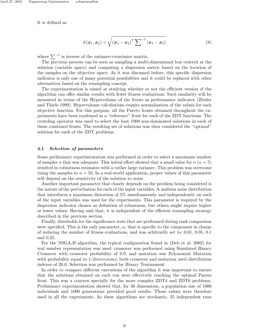It is defined as

$$
d(\mathbf{x}_1, \mathbf{x}_2) = \sqrt{(\mathbf{x}_1 - \mathbf{x}_2)^T \sum^{-1} (\mathbf{x}_1 - \mathbf{x}_2)}
$$
(8)

where  $\sum^{-1}$  is inverse of the variance-covariance matrix.

The previous process can be seen as sampling a multi-dimensional box centred at the solution (variable space) and computing a dispersion metric based on the location of the samples on the objective space. As it was discussed before, this specific dispersion indicator is only one of many potential possibilities and it could be replaced with other alternatives based on the resampling concept.

The experimentation is aimed at studying whether or not the efficient version of the algorithm can offer similar results with fewer fitness evaluations. Such similarity will be measured in terms of the Hypervolume of the fronts as performance indicator (Zitzler and Thiele 1999). Hypervolume calculations require normalization of the values for each objective function. For this purpose, all the Pareto fronts obtained throughout the experiments have been combined in a "reference" front for each of the ZDT functions. The crowding operator was used to select the best 1000 non-dominated solutions in each of these combined fronts. The resulting set of solutions was then considered the "optimal" solution for each of the ZDT problems.

### 4.1 Selection of parameters

Some preliminary experimentation was performed in order to select a maximum number of samples n that was adequate. This initial effort showed that a small value for  $n (n = 5)$ resulted in robustness estimates with a rather large variance. This problem was overcome rising the samples to  $n = 50$ . In a real-world application, proper values of this parameter will depend on the sensitivity of the solution to noise.

Another important parameter that closely depends on the problem being considered is the nature of the perturbation for each of the input variables. A uniform noise distribution that introduces a maximum distortion of 5% simultaneously and independently on each of the input variables was used for the experiments. This parameter is required by the dispersion indicator chosen as definition of robustness, but others might require higher or lower values. Having said that, it is independent of the efficient resampling strategy described in the previous section.

Finally, thresholds for the significance tests that are performed during rank comparison were specified. This is the only parameter,  $\alpha$ , that is specific to the component in charge of reducing the number of fitness evaluations, and was arbitrarily set to: 0.01, 0.05, 0.1 and 0.25.

For the NSGA-II algorithm, the typical configuration found in (Deb et al. 2002) for real number representation was used: crossover was performed using Simulated Binary Crossover with crossover probability of 0.9, and mutation was Polynomial Mutation with probability equal to  $1/dimensions$ ; both crossover and mutation used distribution indexes of 20.0. Selection was performed by Binary Tournament.

In order to compare different executions of the algorithm it was important to ensure that the solutions obtained on each run were effectively reaching the optimal Pareto front. This was a concern specially for the more complex ZDT4 and ZDT6 problems. Preliminary experimentation showed that, for 30 dimensions, a population size of 1000 individuals and 1000 generations provided good results. Those values were therefore used in all the experiments. As these algorithms are stochastic, 25 independent runs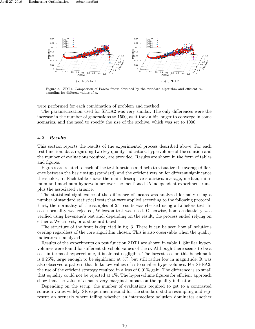

Figure 3. ZDT1. Comparison of Pareto fronts obtained by the standard algorithm and efficient resampling for different values of  $\alpha$ .

were performed for each combination of problem and method.

The parametrization used for SPEA2 was very similar. The only differences were the increase in the number of generations to 1500, as it took a bit longer to converge in some scenarios, and the need to specify the size of the archive, which was set to 1000.

## 4.2 Results

This section reports the results of the experimental process described above. For each test function, data regarding two key quality indicators: hypervolume of the solution and the number of evaluations required, are provided. Results are shown in the form of tables and figures.

Figures are related to each of the test functions and help to visualize the average difference between the basic setup (standard) and the efficient version for different significance thresholds,  $\alpha$ . Each table shows the main descriptive statistics: average, median, minimum and maximum hypervolume; over the mentioned 25 independent experiment runs, plus the associated variance.

The statistical significance of the difference of means was analyzed formally using a number of standard statistical tests that were applied according to the following protocol. First, the normality of the samples of 25 results was checked using a Lilliefors test. In case normality was rejected, Wilcoxon test was used. Otherwise, homoscedasticity was verified using Levenene's test and, depending on the result, the process ended relying on either a Welch test, or a standard t-test.

The structure of the front is depicted in fig. 3. There it can be seen how all solutions overlap regardless of the core algorithm chosen. This is also observable when the quality indicators is analyzed.

Results of the experiments on test function ZDT1 are shown in table 1. Similar hypervolumes were found for different threshold values of the  $\alpha$ . Although there seems to be a cost in terms of hypervolume, it is almost negligible. The largest loss on this benchmark is 0.25%, large enough to be significant at 5%, but still rather low in magnitude. It was also observed a pattern that links low values of  $\alpha$  to smaller hypervolumes. For SPEA2, the use of the efficient strategy resulted in a loss of  $0.01\%$  gain. The difference is so small that equality could not be rejected at 1%. The hypervolume figures for efficient approach show that the value of  $\alpha$  has a very marginal impact on the quality indicator.

Depending on the setup, the number of evaluations required to get to a contrasted solution varies widely. SR experiments stand for the standard static resampling and represent an scenario where telling whether an intermediate solution dominates another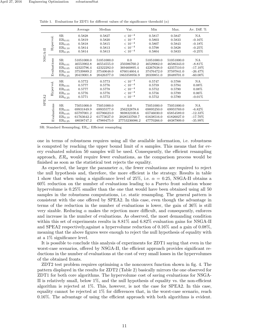|         |             |                                                                                                  | Average                                                            | Median                                                             | Var.                                                                      | Min                                                                | Max.                                                               | Av. Diff. $%$                                              |
|---------|-------------|--------------------------------------------------------------------------------------------------|--------------------------------------------------------------------|--------------------------------------------------------------------|---------------------------------------------------------------------------|--------------------------------------------------------------------|--------------------------------------------------------------------|------------------------------------------------------------|
| NSGA-II | Hypervol.   | $_{\rm SR}$<br>ER <sub>0.01</sub><br>$\mathrm{ER}_{0.05}$<br>$\mathrm{ER}_{0.10}$<br>$ER_{0.25}$ | 0.5828<br>0.5819<br>0.5818<br>0.5814<br>0.5814                     | 0.5827<br>0.5820<br>0.5815<br>0.5813<br>0.5813                     | $<10^{-4}\,$<br>$< 10^{-4}$<br>$<10^{-4}\,$<br>$< 10^{-4}$<br>$< 10^{-4}$ | 0.5817<br>0.5803<br>0.5807<br>0.5798<br>0.5804                     | 0.5847<br>0.5833<br>0.5843<br>0.5828<br>0.5833                     | NA.<br>$-0.16%$<br>$-0.18%$<br>$-0.25%$<br>$-0.25%$        |
|         | Evaluations | $_{\rm SR}$<br>ER <sub>0.01</sub><br>ER <sub>0.05</sub><br>$\mathrm{ER}_{0.10}$<br>$ER_{0.25}$   | 51051000.0<br>46553902.8<br>42323796.4<br>37539889.2<br>20419001.8 | 51051000.0<br>46554555.0<br>42322292.0<br>37540648.0<br>20426377.0 | 0.0<br>250386760.2<br>369460895.4<br>676014604.4<br>1863358956.9          | 51051000.0<br>46529062.0<br>42267638.0<br>37476472.0<br>20339851.0 | 51051000.0<br>46586343.0<br>42357510.0<br>37597841.0<br>20489701.0 | NA<br>$-8.81\%$<br>$-17.10\%$<br>$-26.47\%$<br>$-60.00\%$  |
|         | Hypervol.   | $_{\rm SR}$<br>$ER_{0.01}$<br>$ER_{0.05}$<br>$ER_{0.10}$<br>$ER_{0.25}$                          | 0.5772<br>0.5777<br>0.5777<br>0.5776<br>0.5771                     | 0.5773<br>0.5776<br>0.5778<br>0.5776<br>0.5772                     | $< 10^{-4}$<br>$< 10^{-4}$<br>$< 10^{-4}$<br>$< 10^{-4}$<br>$< 10^{-4}$   | 0.5747<br>0.5759<br>0.5752<br>0.5756<br>0.5752                     | 0.5788<br>0.5794<br>0.5790<br>0.5799<br>0.5790                     | NA<br>$0.08\%$<br>$0.08\%$<br>$0.06\%$<br>$-0.01%$         |
| SPEA2   | Evaluations | SR<br>ER <sub>0.01</sub><br>ER <sub>0.05</sub><br>$ER_{0.10}$<br>$ER_{0.25}$                     | 75051000.0<br>69931849.9<br>65797001.2<br>61763642.2<br>48038747.2 | 75051000.0<br>69935577.0<br>65796623.0<br>61773627.0<br>47989475.0 | 0.0<br>256232878.6<br>969832100.6<br>2028533760.7<br>27753236086.2        | 75051000.0<br>69895250.0<br>65746030.0<br>61638516.0<br>47770266.0 | 75051000.0<br>69955769.0<br>65854589.0<br>61826027.0<br>48387909.0 | NA.<br>$-6.82\%$<br>$-12.33\%$<br>$-17.70\%$<br>$-35.99\%$ |

Table 1. Evaluations for ZDT1 for different values of the significance threshold  $(\alpha)$ 

SR: Standard Resampling;  $ER_{\alpha}$ : Efficient resampling

one in terms of robustness requires using all the available information, i.e. robustness is computed by reaching the upper bound limit of  $n$  samples. This means that for every evaluated solution 50 samples will be used. Consequently, the efficient resampling approach,  $ER_{\alpha}$  would require fewer evaluations, as the comparison process would be finished as soon as the statistical test rejects the equality.

As expected, the larger the parameter  $\alpha$ , the fewer evaluations are required to reject the null hypothesis and, therefore, the more efficient is the strategy. Results in table 1 show that when using a significance level of  $25\%$ , i.e.  $\alpha = 0.25$ , NSGA-II obtains a 60% reduction on the number of evaluations leading to a Pareto front solution whose hypervolume is 0.25% smaller than the one that would have been obtained using all 50 samples in the robustness computations, i.e. static resampling. The general pattern is consistent with the one offered by SPEA2. In this case, even though the advantage in terms of the reduction in the number of evaluations is lower, the gain of 36% is still very sizable. Reducing  $\alpha$  makes the rejection more difficult, and consequently, enforces and increase in the number of evaluations. As observed, the most demanding condition within this set of experiments results in 8.81% and 6.82% evaluation gains for NSGA-II and SPEA2 respectively,against a hypervolume reduction of 0.16% and a gain of 0.08%, meaning that the above figures were enough to reject the null hypothesis of equality with at a 1% significance level.

It is possible to conclude this analysis of experiments for ZDT1 saying that even in the worst-case scenarios, offered by NSGA-II, the efficient approach provides significant reductions in the number of evaluations at the cost of very small losses in the hypervolumes of the obtained fronts.

ZDT2 test problem requires optimising a the nonconvex function shown in fig. 4. The pattern displayed in the results for ZDT2 (Table 2) basically mirrors the one observed for ZDT1 for both core algorithms. The hypervolume cost of saving evaluations for NSGA-II is relatively small, below 1%, and the null hypothesis of equality vs. the non-efficient algorithm is rejected at  $1\%$ . This, however, is not the case for SPEA2. In this case, equality cannot be rejected at 1% for differences that, in the worst-case scenario, reach 0.16%. The advantage of using the efficient approach with both algorithms is evident.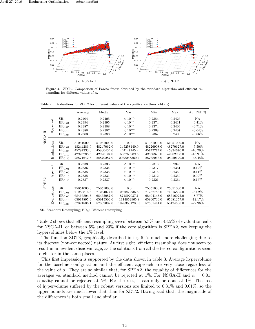

Figure 4. ZDT2. Comparison of Pareto fronts obtained by the standard algorithm and efficient resampling for different values of  $\alpha$ .

|         |             |                                                                                         | Average                                                            | Median                                                             | Var.                                                                     | Min                                                                | Max.                                                               | Av. Diff. $%$                                               |
|---------|-------------|-----------------------------------------------------------------------------------------|--------------------------------------------------------------------|--------------------------------------------------------------------|--------------------------------------------------------------------------|--------------------------------------------------------------------|--------------------------------------------------------------------|-------------------------------------------------------------|
| NSGA-II | Hypervol.   | $_{\rm SR}$<br>$ER_{0.01}$<br>$ER_{0.05}$<br>$ER_{0.10}$<br>$ER_{0.25}$                 | 0.2404<br>0.2394<br>0.2387<br>0.2388<br>0.2383                     | 0.2405<br>0.2395<br>0.2388<br>0.2387<br>0.2383                     | $< 10^{-4}$<br>$< 10^{-4}$<br>$<10^{-4}\,$<br>$< 10^{-4}$<br>$< 10^{-4}$ | 0.2384<br>0.2374<br>0.2374<br>0.2368<br>0.2367                     | 0.2426<br>0.2411<br>0.2404<br>0.2407<br>0.2400                     | <b>NA</b><br>$-0.41%$<br>$-0.71%$<br>$-0.64\%$<br>$-0.86\%$ |
|         | Evaluations | $_{\rm SR}$<br>$\mathrm{ER}_{0.01}$<br>$ER_{0.05}$<br>$ER_{0.10}$<br>$ER_{0.25}$        | 51051000.0<br>48244286.0<br>45797333.0<br>42926288.5<br>28871642.3 | 51051000.0<br>48247062.0<br>45800434.0<br>42928124.0<br>28870287.0 | 0.0<br>145258140.0<br>444147145.2<br>633760289.8<br>2058248360.4         | 51051000.0<br>48226908.0<br>45742774.0<br>42866870.0<br>28768065.0 | 51051000.0<br>48270627.0<br>45834670.0<br>42962938.0<br>28959120.0 | NA<br>$-5.50\%$<br>$-10.29\%$<br>$-15.91%$<br>$-43.45\%$    |
| SPEA2   | Hypervol.   | SR<br>ER <sub>0.01</sub><br>ER <sub>0.05</sub><br>$ER_{0.10}$<br>$ER_{0.25}$            | 0.2333<br>0.2336<br>0.2335<br>0.2335<br>0.2337                     | 0.2335<br>0.2334<br>0.2335<br>0.2331<br>0.2337                     | $< 10^{-4}$<br>$< 10^{-4}$<br>$< 10^{-4}$<br>$< 10^{-4}$<br>$< 10^{-4}$  | 0.2318<br>0.2317<br>0.2316<br>0.2312<br>0.2321                     | 0.2345<br>0.2361<br>0.2360<br>0.2359<br>0.2364                     | <b>NA</b><br>$0.12\%$<br>0.11%<br>$0.09\%$<br>0.16%         |
|         | Evaluations | SR<br>$\mathrm{ER}_{0.01}$<br>$\mathrm{ER}_{0.05}$<br>ER <sub>0.10</sub><br>$ER_{0.25}$ | 75051000.0<br>71283816.5<br>68466804.3<br>65917895.6<br>57821886.1 | 75051000.0<br>71284074.0<br>68465087.0<br>65915506.0<br>57832002.0 | 0.0<br>257853336.8<br>871892037.1<br>1114852965.8<br>19283501280.3       | 75051000.0<br>71257783.0<br>68404143.0<br>65860730.0<br>57561441.0 | 75051000.0<br>71315895.0<br>68516025.0<br>65981257.0<br>58124506.0 | NA<br>$-5.02\%$<br>$-8.77\%$<br>$-12.17%$<br>$-22.96\%$     |

Table 2. Evaluations for ZDT2 for different values of the significance threshold  $(\alpha)$ 

SR: Standard Resampling;  $ER_{\alpha}$ : Efficient resampling

Table 2 shows that efficient resampling saves between 5.5% and 43.5% of evaluation calls for NSGA-II, or between 5% and 23% if the core algorithm is SPEA2, yet keeping the hypervolumes below the  $1\%$  level.

The function ZDT3, graphically described in fig. 5, is much more challenging due to its discrete (non-connected) nature. At first sight, efficient resampling does not seem to result in an evident disadvantage, as the solutions from all the tested configurations seem to cluster in the same places.

This first impression is supported by the data shown in table 3. Average hypervolume for the baseline configuration and the efficient approach are very close regardless of the value of  $\alpha$ . They are so similar that, for SPEA2, the equality of differences for the averages vs. standard method cannot be rejected at 1%. For NSGA-II and  $\alpha = 0.01$ , equality cannot be rejected at 5%. For the rest, it can only be done at 1%. The loss of hypervolume suffered by the robust versions are limited to 0.31% and 0.01%, so the upper bounds are much lower that than for ZDT2. Having said that, the magnitude of the differences is both small and similar.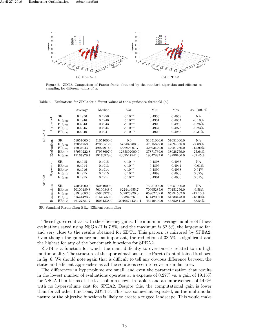

Figure 5. ZDT3. Comparison of Pareto fronts obtained by the standard algorithm and efficient resampling for different values of  $\alpha$ .

Table 3. Evaluations for ZDT3 for different values of the significance threshold  $(\alpha)$ 

|         |             |                                                                                         | Average                                                            | Median                                                             | Var.                                                                    | Min                                                                | Max.                                                               | Av. Diff. $%$                                             |
|---------|-------------|-----------------------------------------------------------------------------------------|--------------------------------------------------------------------|--------------------------------------------------------------------|-------------------------------------------------------------------------|--------------------------------------------------------------------|--------------------------------------------------------------------|-----------------------------------------------------------|
| NSGA-II | Hypervol.   | $_{\rm SR}$<br>$\mathrm{ER}_{0.01}$<br>ER <sub>0.05</sub><br>$ER_{0.10}$<br>$ER_{0.25}$ | 0.4956<br>0.4946<br>0.4943<br>0.4945<br>0.4940                     | 0.4956<br>0.4946<br>0.4943<br>0.4944<br>0.4941                     | $< 10^{-4}$<br>$< 10^{-4}$<br>$< 10^{-4}$<br>$< 10^{-4}$<br>$< 10^{-4}$ | 0.4936<br>0.4931<br>0.4929<br>0.4934<br>0.4920                     | 0.4969<br>0.4964<br>0.4960<br>0.4973<br>0.4955                     | NA.<br>$-0.19\%$<br>$-0.26\%$<br>$-0.23%$<br>$-0.31%$     |
|         | Evaluations | $_{\rm SR}$<br>$\mathrm{ER}_{0.01}$<br>$ER_{0.05}$<br>$ER_{0.10}$<br>$ER_{0.25}$        | 51051000.0<br>47054253.3<br>42934043.3<br>37959222.8<br>19167879.7 | 51051000.0<br>47056512.0<br>42927974.0<br>37958697.0<br>19170929.0 | 0.0<br>575409700.8<br>563258007.7<br>1235802000.9<br>4309517941.6       | 51051000.0<br>47015692.0<br>42893429.0<br>37871739.0<br>19047897.0 | 51051000.0<br>47094058.0<br>42987260.0<br>38028759.0<br>19296106.0 | NA<br>$-7.83\%$<br>$-15.90\%$<br>$-25.64\%$<br>$-62.45%$  |
| SPEA2   | Hypervol.   | SR<br>$\mathrm{ER}_{0.01}$<br>ER <sub>0.05</sub><br>$ER_{0.10}$<br>$ER_{0.25}$          | 0.4915<br>0.4914<br>0.4916<br>0.4915<br>0.4915                     | 0.4915<br>0.4913<br>0.4914<br>0.4915<br>0.4914                     | $< 10^{-4}$<br>$< 10^{-4}$<br>$< 10^{-4}$<br>$< 10^{-4}$<br>$< 10^{-4}$ | 0.4898<br>0.4896<br>0.4899<br>0.4898<br>0.4901                     | 0.4933<br>0.4944<br>0.4938<br>0.4936<br>0.4930                     | NA.<br>$-0.01%$<br>0.04%<br>$0.02\%$<br>0.01%             |
|         | Evaluations | SR<br>ER <sub>0.01</sub><br>ER <sub>0.05</sub><br>$ER_{0.10}$<br>$ER_{0.25}$            | 75051000.0<br>70109489.8<br>65948083.6<br>61541423.2<br>46127881.7 | 75051000.0<br>70100848.0<br>65943977.0<br>61540550.0<br>46041338.0 | 0.0<br>622444655.7<br>502876820.0<br>1683843761.0<br>120108744344.4     | 75051000.0<br>70065285.0<br>65902202.0<br>61442037.0<br>45440490.0 | 75051000.0<br>70151256.0<br>65994502.0<br>61633473.0<br>46852811.0 | NA.<br>$-6.58\%$<br>$-12.13%$<br>$-18.00\%$<br>$-38.54\%$ |

SR: Standard Resampling;  $ER_{\alpha}$ : Efficient resampling

These figures contrast with the efficiency gains. The minimum average number of fitness evaluations saved using NSGA-II is 7.8%, and the maximum is 62.6%, the largest so far, and very close to the results obtained for ZDT1. This pattern is mirrored by SPEA2. Even though the gains are not as important, the reduction of 38.5% is significant and the highest for any of the benchmark functions for SPEA2.

ZDT4 is a function for which the main difficulty to overcome is related to its high multimodality. The structure of the approximations to the Pareto front obtained is shown in fig. 6. We should note again that is difficult to tell any obvious difference between the static and efficient approaches as all the solutions seem to cover a similar area.

The differences in hypervolume are small, and even the parametrization that results in the lowest number of evaluations operates at a expense of 0.27% vs. a gain of 19.15% for NSGA-II in terms of the last column shown in table 4 and an improvement of 14.6% with no hypervolume cost for SPEA2. Despite this, the computational gain is lower than for all other functions, ZDT1-3. This was somewhat expected, as the multimodal nature or the objective functions is likely to create a rugged landscape. This would make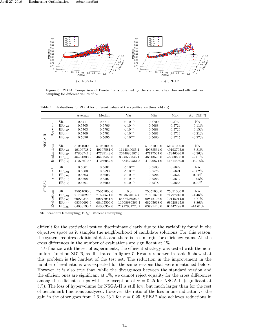

Figure 6. ZDT4. Comparison of Pareto fronts obtained by the standard algorithm and efficient resampling for different values of  $\alpha$ .

Table 4. Evaluations for ZDT4 for different values of the significance threshold  $(\alpha)$ 

|                   |             |                                                                                         | Average                                                            | Median                                                             | Var.                                                                     | Min                                                                | Max.                                                               | Av. Diff. $%$                                            |
|-------------------|-------------|-----------------------------------------------------------------------------------------|--------------------------------------------------------------------|--------------------------------------------------------------------|--------------------------------------------------------------------------|--------------------------------------------------------------------|--------------------------------------------------------------------|----------------------------------------------------------|
| NSGA-II           | Hypervol.   | $_{\rm SR}$<br>ER <sub>0.01</sub><br>ER <sub>0.05</sub><br>$ER_{0.10}$<br>$ER_{0.25}$   | 0.5711<br>0.5705<br>0.5703<br>0.5700<br>0.5696                     | 0.5711<br>0.5706<br>0.5702<br>0.5701<br>0.5695                     | $< 10^{-4}$<br>$< 10^{-4}$<br>$< 10^{-4}$<br>$< 10^{-4}$<br>$< 10^{-4}$  | 0.5700<br>0.5688<br>0.5688<br>0.5681<br>0.5680                     | 0.5730<br>0.5724<br>0.5726<br>0.5714<br>0.5715                     | NA.<br>$-0.11\%$<br>$-0.15%$<br>$-0.21%$<br>$-0.27\%$    |
|                   | Evaluations | $_{\rm SR}$<br>ER <sub>0.01</sub><br>$\mathrm{ER}_{0.05}$<br>$ER_{0.10}$<br>$ER_{0.25}$ | 51051000.0<br>49106738.2<br>47803741.3<br>46451380.9<br>41275670.8 | 51051000.0<br>49107581.0<br>47799149.0<br>46463460.0<br>41286052.0 | 0.0<br>1144840085.1<br>2644886587.3<br>3588566345.1<br>11534422561.3     | 51051000.0<br>49038534.0<br>47717531.0<br>46313593.0<br>41026871.0 | 51051000.0<br>49193795.0<br>47946096.0<br>46568650.0<br>41514530.0 | NA.<br>$-3.81\%$<br>$-6.36\%$<br>$-9.01\%$<br>$-19.15\%$ |
|                   | Hypervol.   | SR<br>$\mathrm{ER}_{0.01}$<br>$ER_{0.05}$<br>$ER_{0.10}$<br>$ER_{0.25}$                 | 0.5601<br>0.5600<br>0.5603<br>0.5598<br>0.5601                     | 0.5601<br>0.5598<br>0.5605<br>0.5597<br>0.5600                     | $< 10^{-4}$<br>$< 10^{-4}$<br>$< 10^{-4}$<br>$<10^{-4}\,$<br>$< 10^{-4}$ | 0.5583<br>0.5575<br>0.5584<br>0.5583<br>0.5578                     | 0.5629<br>0.5621<br>0.5622<br>0.5612<br>0.5633                     | NA<br>$-0.02\%$<br>0.04%<br>$-0.05%$<br>$0.00\%$         |
| SPEA <sub>2</sub> | Evaluations | $_{\rm SR}$<br>$\mathrm{ER}_{0.01}$<br>$ER_{0.05}$<br>$ER_{0.10}$<br>$ER_{0.25}$        | 75051000.0<br>71704829.6<br>69970344.0<br>68399696.0<br>64088198.4 | 75051000.0<br>71698571.0<br>69977941.0<br>68405509.0<br>64086952.0 | 0.0<br>2103534014.4<br>6437428926.6<br>11608680363.1<br>21717901773.7    | 75051000.0<br>71601328.0<br>69842105.0<br>68205668.0<br>63791446.0 | 75051000.0<br>71797216.0<br>70145014.0<br>68628845.0<br>64442298.0 | NA.<br>$-4.46\%$<br>$-6.77\%$<br>$-8.86\%$<br>$-14.61%$  |

SR: Standard Resampling;  $ER_{\alpha}$ : Efficient resampling

difficult for the statistical test to discriminate clearly due to the variability found in the objective space as it samples the neighborhood of candidate solutions. For this reason, the system requires additional data and there is less margin for efficiency gains. All the cross differences in the number of evaluations are significant at 1%.

To finalize with the set of experiments, the efficient strategy was tested with the nonuniforn function ZDT6, as illustrated in figure 7. Results reported in table 5 show that this problem is the hardest of the test set. The reduction in the improvement in the number of evaluations was expected for the same reasons that were mentioned before. However, it is also true that, while the divergences between the standard version and the efficient ones are significant at 1%, we cannot reject equality for the cross differences among the efficient setups with the exception of  $\alpha = 0.25$  for NSGA-II (significant at 5%). The loss of hypervolume for NSGA-II is still low, but much larger than for the rest of benchmark functions analyzed. However, the ratio of the loss in one indicator vs. the gain in the other goes from 2.6 to 23.1 for  $\alpha = 0.25$ . SPEA2 also achieves reductions in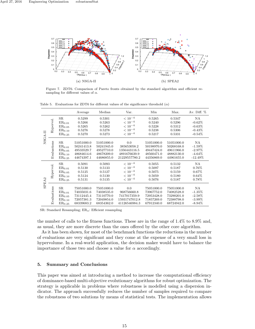

Figure 7. ZDT6. Comparison of Pareto fronts obtained by the standard algorithm and efficient resampling for different values of  $\alpha$ .

Table 5. Evaluations for ZDT6 for different values of the significance threshold  $(\alpha)$ 

|         |             |                                                                                  | Average                                                            | Median                                                             | Var.                                                                    | Min                                                                | Max.                                                               | Av. Diff. $%$                                                 |
|---------|-------------|----------------------------------------------------------------------------------|--------------------------------------------------------------------|--------------------------------------------------------------------|-------------------------------------------------------------------------|--------------------------------------------------------------------|--------------------------------------------------------------------|---------------------------------------------------------------|
| NSGA-II | Hypervol.   | SR<br>$\mathrm{ER}_{0.01}$<br>$ER_{0.05}$<br>$ER_{0.10}$<br>$ER_{0.25}$          | 0.5299<br>0.5266<br>0.5265<br>0.5276<br>0.5270                     | 0.5301<br>0.5263<br>0.5262<br>0.5278<br>0.5273                     | $< 10^{-4}$<br>$< 10^{-4}$<br>$< 10^{-4}$<br>$< 10^{-4}$<br>$< 10^{-4}$ | 0.5265<br>0.5240<br>0.5228<br>0.5238<br>0.5217                     | 0.5347<br>0.5296<br>0.5312<br>0.5306<br>0.5331                     | <b>NA</b><br>$-0.62\%$<br>$-0.63\%$<br>$-0.43\%$<br>$-0.54\%$ |
|         | Evaluations | $_{\rm SR}$<br>$ER_{0.01}$<br>ER <sub>0.05</sub><br>$ER_{0.10}$<br>$ER_{0.25}$   | 51051000.0<br>50241413.8<br>49533529.7<br>48684614.6<br>44674397.1 | 51051000.0<br>50241945.0<br>49527710.0<br>48678209.0<br>44686855.0 | 0.0<br>385653058.2<br>1356443116.5<br>4891676639.9<br>21229557780.2     | 51051000.0<br>50198970.0<br>49447424.0<br>48560471.0<br>44356869.0 | 51051000.0<br>50268168.0<br>49611966.0<br>48882130.0<br>44961655.0 | NA.<br>$-1.59\%$<br>$-2.97\%$<br>$-4.64\%$<br>$-12.49%$       |
|         | Hypervol.   | $_{\rm SR}$<br>$\mathrm{ER}_{0.01}$<br>$ER_{0.05}$<br>$ER_{0.10}$<br>$ER_{0.25}$ | 0.5091<br>0.5130<br>0.5125<br>0.5124<br>0.5131                     | 0.5093<br>0.5133<br>0.5127<br>0.5130<br>0.5135                     | $< 10^{-4}$<br>$< 10^{-4}$<br>$< 10^{-4}$<br>$< 10^{-4}$<br>$< 10^{-4}$ | 0.5055<br>0.5097<br>0.5075<br>0.5059<br>0.5076                     | 0.5132<br>0.5187<br>0.5159<br>0.5180<br>0.5187                     | NA.<br>0.76%<br>$0.67\%$<br>0.64%<br>0.78%                    |
| SPEA2   | Evaluations | <b>SR</b><br>$\mathrm{ER}_{0.01}$<br>$ER_{0.05}$<br>$ER_{0.10}$<br>$ER_{0.25}$   | 75051000.0<br>74035031.6<br>73112445.4<br>72057381.3<br>68339683.2 | 75051000.0<br>74038535.0<br>73110770.0<br>72049854.0<br>68354362.0 | 0.0<br>968756660.8<br>7417017359.9<br>15931747012.8<br>41126546984.3    | 75051000.0<br>73967752.0<br>72953428.0<br>71857269.0<br>67912340.0 | 75051000.0<br>74082528.0<br>73290201.0<br>72388798.0<br>68724942.0 | NA.<br>$-1.35\%$<br>$-2.58\%$<br>$-3.99\%$<br>$-8.94\%$       |

SR: Standard Resampling;  $ER_{\alpha}$ : Efficient resampling

the number of calls to the fitness functions. These are in the range of 1.4% to 8.9% and, as usual, they are more discrete than the ones offered by the other core algorithm.

As it has been shown, for most of the benchmark functions the reductions in the number of evaluations are very significant and they come at the expense of a very small loss in hypervolume. In a real-world application, the decision maker would have to balance the importance of those two and choose a value for  $\alpha$  accordingly.

### 5. Summary and Conclusions

This paper was aimed at introducing a method to increase the computational efficiency of dominance-based multi-objective evolutionary algorithms for robust optimization. The strategy is applicable in problems where robustness is modelled using a dispersion indicator. The approach successfully reduces the number of samples required to compare the robustness of two solutions by means of statistical tests. The implementation allows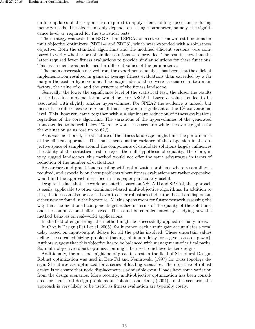on-line updates of the key metrics required to apply them, adding speed and reducing memory needs. The algorithm only depends on a single parameter, namely, the significance level,  $\alpha$ , required for the statistical tests.

The strategy was tested for NSGA-II and SPEA2 on a set well-known test functions for multiobjective optimizers (ZDT1-4 and ZDT6), which were extended with a robustness objective. Both the standard algorithms and the modified efficient versions were compared to verify whether or not similar solutions were provided. The results show that the latter required fewer fitness evaluations to provide similar solutions for these functions. This assessment was performed for different values of the parameter  $\alpha$ .

The main observation derived from the experimental analysis has been that the efficient implementation resulted in gains in average fitness evaluations than exceeded by a far margin the cost in hypervolume. The magnitudes of these were associated to two main factors, the value of  $\alpha$ , and the structure of the fitness landscape.

Generally, the lower the significance level of the statistical test, the closer the results to the baseline implementation would be. For NSGA-II Large  $\alpha$  values tended to be associated with slightly smaller hypervolumes. For SPEA2 the evidence is mixed, but most of the differences were so small that they were insignificant at the 1% conventional level. This, however, came together with a a significant reduction of fitness evaluations regardless of the core algorithm. The variations of the hypervolumes of the generated fronts tended to be well below 1% in the worst case scenario while the average gains for the evaluation gains rose up to 62%.

As it was mentioned, the structure of the fitness landscape might limit the performance of the efficient approach. This makes sense as the variance of the dispersion in the objective space of samples around the components of candidate solutions largely influences the ability of the statistical test to reject the null hypothesis of equality. Therefore, in very rugged landscapes, this method would not offer the same advantages in terms of reduction of the number of evaluations.

Researchers and practitioners dealing with optimization problems where resampling is required, and especially on those problems where fitness evaluations are rather expensive, would find the approach described in this paper particularly useful.

Despite the fact that the work presented is based on NSGA-II and SPEA2, the approach is easily applicable to other dominance-based multi-objective algorithms. In addition to this, the idea can also be carried over to other robustness indicators based on dispersion, either new or found in the literature. All this opens room for future research assessing the way that the mentioned components generalize in terms of the quality of the solutions, and the computational effort saved. This could be complemented by studying how the method behaves on real-world applications.

In the field of engineering, the method might be successfully applied in many areas.

In Circuit Design (Patil et al. 2005), for instance, each circuit gate accumulates a total delay based on input-output delays for all the paths involved. These uncertain values define the so-called 'sizing problem' (having minimum delay for a given area or power). Authors suggest that this objective has to be balanced with management of critical paths. So, multi-objective robust optimization might be used to achieve better designs.

Additionally, the method might be of great interest in the field of Structural Design. Robust optimization was used in Ben-Tal and Nemirovski (1997) for truss topology design. Structures are optimized for a series of loading scenarios. The objective of robust design is to ensure that node displacement is admissible even if loads have some variation from the design scenarios. More recently, multi-objective optimization has been considered for structural design problems in Doltsinis and Kang (2004). In this scenario, the approach is very likely to be useful as fitness evaluation are typically costly.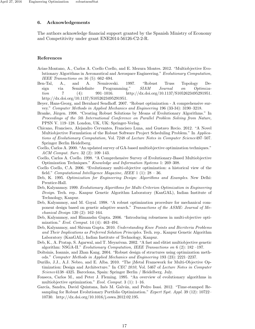## 6. Acknowledgements

The authors acknowledge financial support granted by the Spanish Ministry of Economy and Competitivity under grant ENE2014-56126-C2-2-R.

#### References

- Arias-Montano, A., Carlos A. Coello Coello, and E. Mezura Montes. 2012. "Multiobjective Evolutionary Algorithms in Aeronautical and Aerospace Engineering." Evolutionary Computation, IEEE Transactions on 16 (5): 662–694.
- Ben-Tal, A., and A. Nemirovski. 1997. "Robust Truss Topology Design via Semidefinite Programming." SIAM Journal on Optimization 7 (4): 991–1016. http://dx.doi.org/10.1137/S1052623495291951. http://dx.doi.org/10.1137/S1052623495291951.
- Beyer, Hans-Georg, and Bernhard Sendhoff. 2007. "Robust optimization A comprehensive survey." Computer Methods in Applied Mechanics and Engineering 196 (33-34): 3190–3218.
- Branke, Jürgen. 1998. "Creating Robust Solutions by Means of Evolutionary Algorithms." In Proceedings of the 5th International Conference on Parallel Problem Solving from Nature, PPSN V. 119–128. London, UK, UK: Springer-Verlag.
- Chicano, Francisco, Alejandro Cervantes, Francisco Luna, and Gustavo Recio. 2012. "A Novel Multiobjective Formulation of the Robust Software Project Scheduling Problem." In Applications of Evolutionary Computation, Vol. 7248 of Lecture Notes in Computer Science497–507. Springer Berlin Heidelberg.
- Coello, Carlos A. 2000. "An updated survey of GA-based multiobjective optimization techniques." ACM Comput. Surv. 32 (2): 109–143.
- Coello, Carlos A. Coello. 1998. "A Comprehensive Survey of Evolutionary-Based Multiobjective Optimization Techniques." Knowledge and Information Systems 1: 269–308.
- Coello Coello, C.A. 2006. "Evolutionary multi-objective optimization: a historical view of the field." Computational Intelligence Magazine, IEEE 1 (1): 28 – 36.
- Deb, K. 1995. Optimization for Engineering Design: Algorithms and Examples. New Delhi: Prentice-Hall.
- Deb, Kalyanmoy. 1999. Evolutionary Algorithms for Multi-Criterion Optimization in Engineering Design. Tech. rep.. Kanpur Genetic Algorithm Laboratory (KanGAL), Indian Institute of Technology, Kanpur.
- Deb, Kalyanmoy, and M. Goyal. 1998. "A robust optimization procedure for mechanical component design based on genetic adaptive search." Transactions of the ASME: Journal of Mechanical Design 120 (2): 162–164.
- Deb, Kalyanmoy, and Himanshu Gupta. 2006. "Introducing robustness in multi-objective optimization." Evol. Comput. 14 (4): 463–494.
- Deb, Kalyanmoy, and Shivam Gupta. 2010. Understanding Knee Points and Bicriteria Problems and Their Implications as Preferred Solution Principles. Tech. rep.. Kanpur Genetic Algorithm Laboratory (KanGAL), Indian Institute of Technology, Kanpur.
- Deb, K., A. Pratap, S. Agarwal, and T. Meyarivan. 2002. "A fast and elitist multiobjective genetic algorithm: NSGA-II." Evolutionary Computation, IEEE Transactions on 6 (2): 182 –197.
- Doltsinis, Ioannis, and Zhan Kang. 2004. "Robust design of structures using optimization methods." Computer Methods in Applied Mechanics and Engineering 193 (23): 2221–2237.
- Durillo, J.J., A.J. Nebro, and E. Alba. 2010. "The jMetal Framework for Multi-Objective Optimization: Design and Architecture." In CEC 2010, Vol. 5467 of Lecture Notes in Computer Science4138–4325. Barcelona, Spain: Springer Berlin / Heidelberg. July.
- Fonseca, Carlos M., and Peter J. Fleming. 1995. "An overview of evolutionary algorithms in multiobjective optimization." Evol. Comput. 3 (1): 1–16.
- García, Sandra, David Quintana, Inés M. Galván, and Pedro Isasi. 2012. "Time-stamped Resampling for Robust Evolutionary Portfolio Optimization." Expert Syst. Appl. 39 (12): 10722– 10730. http://dx.doi.org/10.1016/j.eswa.2012.02.195.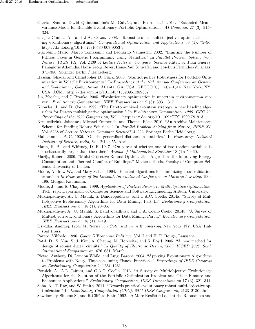García, Sandra, David Quintana, Inés M. Galván, and Pedro Isasi. 2014. "Extended Meanvariance Model for Reliable Evolutionary Portfolio Optimization." AI Commun. 27 (3): 315– 324.

- Gaspar-Cunha, A., and J.A. Covas. 2008. "Robustness in multi-objective optimization using evolutionary algorithms." Computational Optimization and Applications 39 (1): 75–96. http://dx.doi.org/10.1007/s10589-007-9053-9.
- Giacobini, Mario, Marco Tomassini, and Leonardo Vanneschi. 2002. "Limiting the Number of Fitness Cases in Genetic Programming Using Statistics." In Parallel Problem Solving from Nature PPSN VII, Vol. 2439 of Lecture Notes in Computer Science edited by Juan Guervs, Panagiotis Adamidis, Hans-Georg Beyer, Hans-Paul Schwefel, and Jos-Luis Fernndez-Villacaas. 371–380. Springer Berlin / Heidelberg.
- Hassan, Ghada, and Christopher D. Clack. 2008. "Multiobjective Robustness for Portfolio Optimization in Volatile Environments." In Proceedings of the 10th Annual Conference on Genetic and Evolutionary Computation, Atlanta, GA, USA. GECCO '08. 1507–1514. New York, NY, USA: ACM. http://doi.acm.org/10.1145/1389095.1389387.
- Jin, Yaochu, and J. Branke. 2005. "Evolutionary optimization in uncertain environments-a survey." Evolutionary Computation, IEEE Transactions on 9 (3): 303 – 317.
- Knowles, J., and D. Corne. 1999. "The Pareto archived evolution strategy: a new baseline algorithm for Pareto multiobjective optimisation." In Evolutionary Computation, 1999. CEC 99. Proceedings of the 1999 Congress on, Vol. 1 http://dx.doi.org/10.1109/CEC.1999.781913.
- Kruisselbrink, Johannes, Michael Emmerich, and Thomas Bäck. 2010. "An Archive Maintenance Scheme for Finding Robust Solutions." In Parallel Problem Solving from Nature, PPSN XI, Vol. 6238 of Lecture Notes in Computer Science214–223. Springer Berlin Heidelberg.
- Mahalanobis, P. C. 1936. "On the generalised distance in statistics." In *Proceedings National* Institute of Science, India, Vol. 2:149–55. April.
- Mann, H. B., and Whitney, D. R. 1947. "On a test of whether one of two random variables is stochastically larger than the other." Annals of Mathematical Statistics 18 (1): 50–60.
- Marijt, Robert. 2009. "Multi-Objective Robust Optimization Algorithms for Improving Energy Consumption and Thermal Comfort of Buildings." Master's thesis. Faculty of Computer Science, University of Leiden.
- Moore, Andrew W., and Mary S. Lee. 1994. "Efficient algorithms for minimizing cross validation error." In In Proceedings of the Eleventh International Conference on Machine Learning, 190– 198. Morgan Kaufmann.
- Moore, J., and R. Chapman. 1999. Application of Particle Swarm to Multiobjective Optimization. Tech. rep.. Department of Computer Science and Software Engineering, Auburn University.
- Mukhopadhyay, A., U. Maulik, S. Bandyopadhyay, and C.A.C. Coello. 2014a. "Survey of Multiobjective Evolutionary Algorithms for Data Mining: Part II." Evolutionary Computation, IEEE Transactions on 18 (1): 20–35.
- Mukhopadhyay, A., U. Maulik, S. Bandyopadhyay, and C.A. Coello Coello. 2014b. "A Survey of Multiobjective Evolutionary Algorithms for Data Mining: Part I." Evolutionary Computation, IEEE Transactions on 18 (1): 4–19.
- Osyczka, Andrzej. 1984. Multicriterion Optimisation in Engineering. New York, NY, USA: Halsted Press.
- Pareto, Vilfredo. 1896. Cours D'Economie Politique. Vol. I and II. F. Rouge, Laussane.
- Patil, D., S. Yun, S. J. Kim, A. Cheung, M. Horowitz, and S. Boyd. 2005. "A new method for design of robust digital circuits." In *Quality of Electronic Design, 2005. ISQED 2005. Sixth* International Symposium on, 676–681. March.
- Pietro, Anthony Di, Lyndon While, and Luigi Barone. 2004. "Applying Evolutionary Algorithms to Problems with Noisy, Time-consuming Fitness Functions." Proceedings of IEEE Congress on Evolutionary Computation 2: 1254–1261.
- Ponsich, A., A.L. Jaimes, and C.A.C. Coello. 2013. "A Survey on Multiobjective Evolutionary Algorithms for the Solution of the Portfolio Optimization Problem and Other Finance and Economics Applications." Evolutionary Computation, IEEE Transactions on 17 (3): 321–344.

Saha, A., T. Ray, and W. Smith. 2011. "Towards practical evolutionary robust multi-objective optimization." In Evolutionary Computation (CEC), 2011 IEEE Congress on, 2123-2130. June.

Sawilowsky, Shlomo S., and R.Clifford Blair. 1992. "A More Realistic Look at the Robustness and